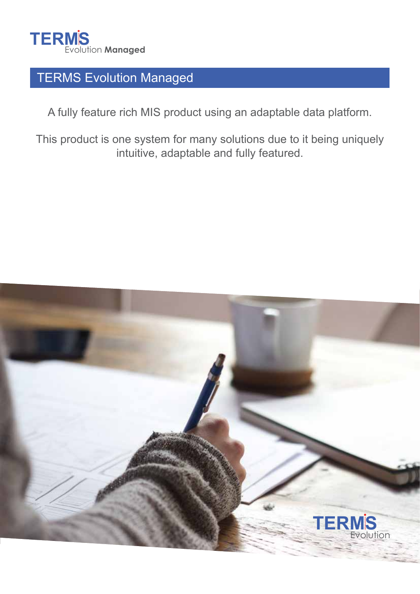

# TERMS Evolution Managed

A fully feature rich MIS product using an adaptable data platform.

This product is one system for many solutions due to it being uniquely intuitive, adaptable and fully featured.

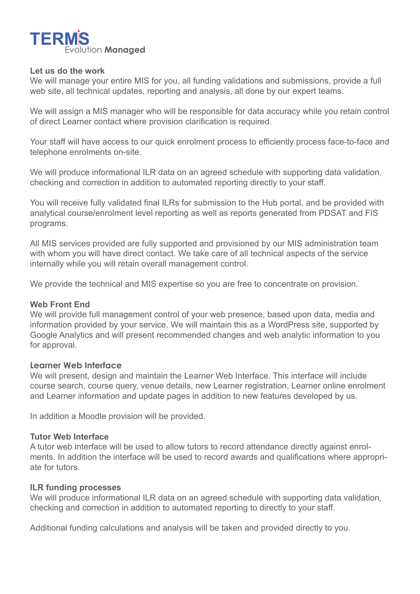

#### **Let us do the work**

We will manage your entire MIS for you, all funding validations and submissions, provide a full web site, all technical updates, reporting and analysis, all done by our expert teams.

We will assign a MIS manager who will be responsible for data accuracy while you retain control of direct Learner contact where provision clarification is required.

Your staff will have access to our quick enrolment process to efficiently process face-to-face and telephone enrolments on-site.

We will produce informational ILR data on an agreed schedule with supporting data validation, checking and correction in addition to automated reporting directly to your staff.

You will receive fully validated final ILRs for submission to the Hub portal, and be provided with analytical course/enrolment level reporting as well as reports generated from PDSAT and FIS programs.

All MIS services provided are fully supported and provisioned by our MIS administration team with whom you will have direct contact. We take care of all technical aspects of the service internally while you will retain overall management control.

We provide the technical and MIS expertise so you are free to concentrate on provision.

### **Web Front End**

We will provide full management control of your web presence, based upon data, media and information provided by your service. We will maintain this as a WordPress site, supported by Google Analytics and will present recommended changes and web analytic information to you for approval.

#### **Learner Web Interface**

We will present, design and maintain the Learner Web Interface. This interface will include course search, course query, venue details, new Learner registration, Learner online enrolment and Learner information and update pages in addition to new features developed by us.

In addition a Moodle provision will be provided.

### **Tutor Web Interface**

A tutor web interface will be used to allow tutors to record attendance directly against enrolments. In addition the interface will be used to record awards and qualifications where appropriate for tutors.

#### **ILR funding processes**

We will produce informational ILR data on an agreed schedule with supporting data validation, checking and correction in addition to automated reporting to directly to your staff.

Additional funding calculations and analysis will be taken and provided directly to you.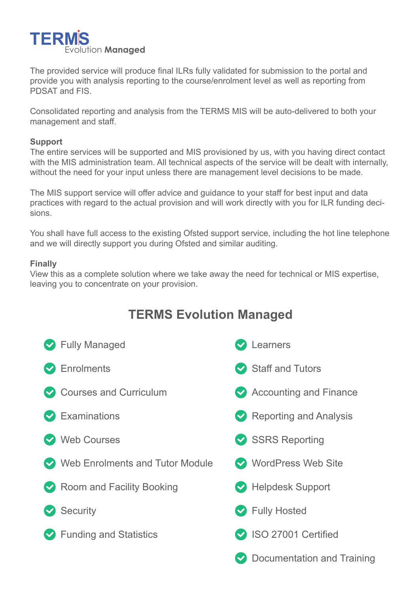

The provided service will produce final ILRs fully validated for submission to the portal and provide you with analysis reporting to the course/enrolment level as well as reporting from PDSAT and FIS.

Consolidated reporting and analysis from the TERMS MIS will be auto-delivered to both your management and staff.

### **Support**

The entire services will be supported and MIS provisioned by us, with you having direct contact with the MIS administration team. All technical aspects of the service will be dealt with internally, without the need for your input unless there are management level decisions to be made.

The MIS support service will offer advice and guidance to your staff for best input and data practices with regard to the actual provision and will work directly with you for ILR funding decisions.

You shall have full access to the existing Ofsted support service, including the hot line telephone and we will directly support you during Ofsted and similar auditing.

### **Finally**

View this as a complete solution where we take away the need for technical or MIS expertise, leaving you to concentrate on your provision.

## **TERMS Evolution Managed**

| Secondary Managed               | Learners                      |
|---------------------------------|-------------------------------|
| $\triangleright$ Enrolments     | Staff and Tutors              |
| Courses and Curriculum          | Accounting and Finance        |
| $\triangleright$ Examinations   | $\vee$ Reporting and Analysis |
| Web Courses                     | SSRS Reporting                |
| Web Enrolments and Tutor Module | WordPress Web Site            |
| Room and Facility Booking       | Helpdesk Support              |
| Security                        | ◆ Fully Hosted                |
| <b>◆</b> Funding and Statistics | SO 27001 Certified            |
|                                 | Documentation and Training    |